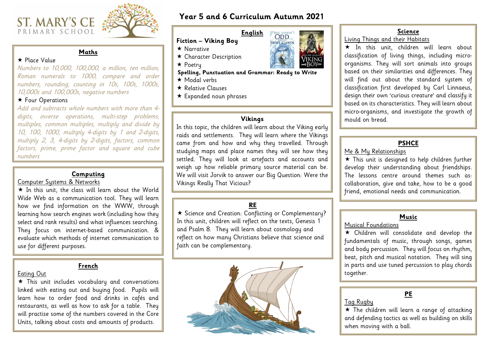### **Year 5 and 6 Curriculum Autumn 2021**

NELL GAIMAN **FROST GIANTS** 

#### **Vikings**

In this topic, the children will learn about the Viking early raids and settlements. They will learn where the Vikings came from and how and why they travelled. Through studying maps and place names they will see how they settled. They will look at artefacts and accounts and weigh up how reliable primary source material can be. We will visit Jorvik to answer our Big Question: Were the Vikings Really That Vicious?

## **ST. MARY'S CE** PRIMARY SCHOOL



### **Maths**

#### $\star$  Place Value

Numbers to 10,000, 100,000, a million, ten million, Roman numerals to 1000, compare and order numbers, rounding, counting in 10s, 100s, 1000s, 10,000s and 100,000s, negative numbers

#### \* Four Operations

Add and subtracts whole numbers with more than 4 digits, inverse operations, multi-step problems, multiples, common multiples, multiply and divide by 10, 100, 1000, multiply 4-digits by 1 and 2-digits, multiply 2, 3, 4-digits by 2-digits, factors, common factors, prime, prime factor and square and cube numbers

### **English**

### **Fiction – Viking Boy**

- $\star$  Narrative
- \* Character Description
- $\star$  Poetru

\* Science and Creation: Conflicting or Complementary? In this unit, children will reflect on the texts, Genesis 1 and Psalm 8. They will learn about cosmology and reflect on how many Christians believe that science and faith can be complementary.

#### **Spelling, Punctuation and Grammar: Ready to Write**

- $\star$  Modal verbs
- $\star$  Relative Clauses
- $\star$  Expanded noun phrases

#### **Science**

 $\star$  In this unit, the class will learn about the World Wide Web as a communication tool. They will learn how we find information on the WWW, through learning how search engines work (including how they select and rank results) and what influences searching. They focus on internet-based communication. & evaluate which methods of internet communication to use for different purposes.

> \* The children will learn a range of attacking and defending tactics as well as building on skills when moving with a ball.

> Living Things and their Habitats  $\star$  In this unit, children will learn about classification of living things, including microorganisms. They will sort animals into groups based on their similarities and differences. They will find out about the standard system of classification first developed by Carl Linnaeus, design their own 'curious creature' and classify it based on its characteristics. They will learn about micro-organisms, and investigate the growth of mould on bread.

### **PSHCE**

Me & My Relationships This unit is designed to help children further develop their understanding about friendships. The lessons centre around themes such as: collaboration, give and take, how to be a good friend, emotional needs and communication.

### **RE**



#### **Computing**

### Computer Systems & Networks

### **PE**

Tag Rugby

### **Music**

Musical Foundations Children will consolidate and develop the fundamentals of music, through songs, games and body percussion. They will focus on rhythm, beat, pitch and musical notation. They will sing in parts and use tuned percussion to play chords together.

#### **French**

#### Eating Out

 This unit includes vocabulary and conversations linked with eating out and buying food. Pupils will learn how to order food and drinks in cafés and restaurants, as well as how to ask for a table. They will practise some of the numbers covered in the Core Units, talking about costs and amounts of products.